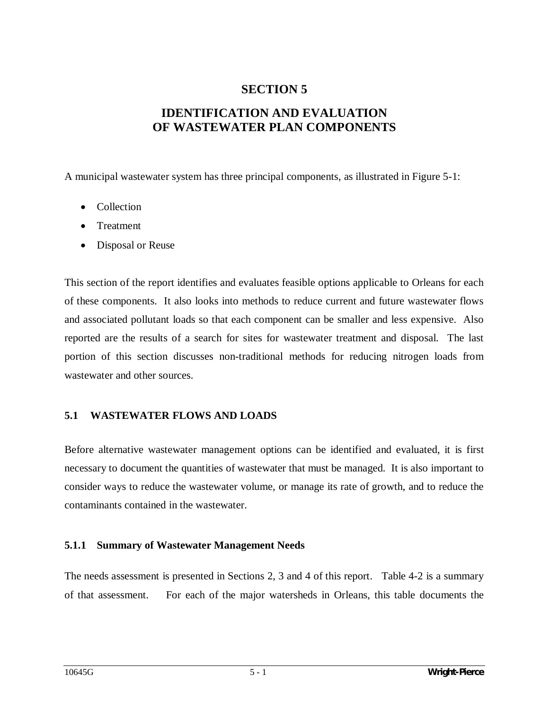# **SECTION 5**

# **IDENTIFICATION AND EVALUATION OF WASTEWATER PLAN COMPONENTS**

A municipal wastewater system has three principal components, as illustrated in Figure 5-1:

- Collection
- Treatment
- Disposal or Reuse

This section of the report identifies and evaluates feasible options applicable to Orleans for each of these components. It also looks into methods to reduce current and future wastewater flows and associated pollutant loads so that each component can be smaller and less expensive. Also reported are the results of a search for sites for wastewater treatment and disposal. The last portion of this section discusses non-traditional methods for reducing nitrogen loads from wastewater and other sources.

#### **5.1 WASTEWATER FLOWS AND LOADS**

Before alternative wastewater management options can be identified and evaluated, it is first necessary to document the quantities of wastewater that must be managed. It is also important to consider ways to reduce the wastewater volume, or manage its rate of growth, and to reduce the contaminants contained in the wastewater.

#### **5.1.1 Summary of Wastewater Management Needs**

The needs assessment is presented in Sections 2, 3 and 4 of this report. Table 4-2 is a summary of that assessment. For each of the major watersheds in Orleans, this table documents the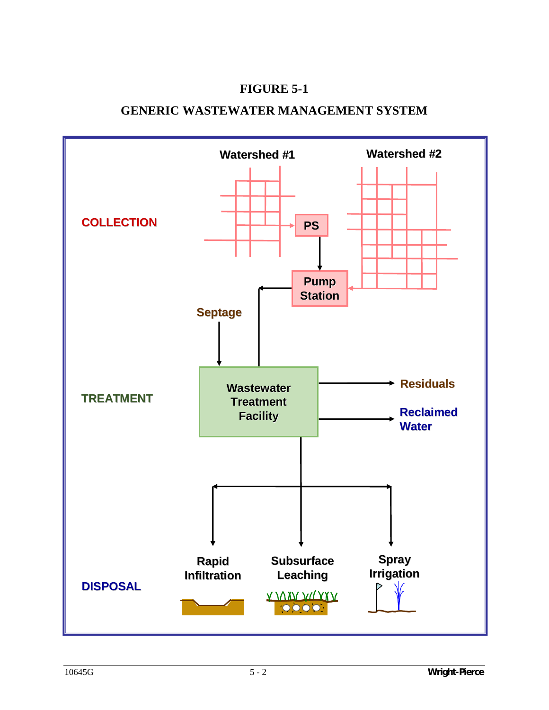# **FIGURE 5-1**

# **GENERIC WASTEWATER MANAGEMENT SYSTEM**

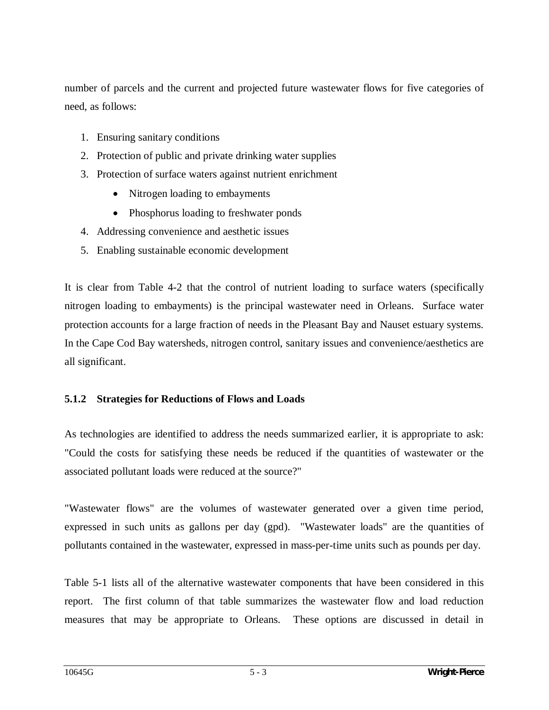number of parcels and the current and projected future wastewater flows for five categories of need, as follows:

- 1. Ensuring sanitary conditions
- 2. Protection of public and private drinking water supplies
- 3. Protection of surface waters against nutrient enrichment
	- Nitrogen loading to embayments
	- Phosphorus loading to freshwater ponds
- 4. Addressing convenience and aesthetic issues
- 5. Enabling sustainable economic development

It is clear from Table 4-2 that the control of nutrient loading to surface waters (specifically nitrogen loading to embayments) is the principal wastewater need in Orleans. Surface water protection accounts for a large fraction of needs in the Pleasant Bay and Nauset estuary systems. In the Cape Cod Bay watersheds, nitrogen control, sanitary issues and convenience/aesthetics are all significant.

#### **5.1.2 Strategies for Reductions of Flows and Loads**

As technologies are identified to address the needs summarized earlier, it is appropriate to ask: "Could the costs for satisfying these needs be reduced if the quantities of wastewater or the associated pollutant loads were reduced at the source?"

"Wastewater flows" are the volumes of wastewater generated over a given time period, expressed in such units as gallons per day (gpd). "Wastewater loads" are the quantities of pollutants contained in the wastewater, expressed in mass-per-time units such as pounds per day.

Table 5-1 lists all of the alternative wastewater components that have been considered in this report. The first column of that table summarizes the wastewater flow and load reduction measures that may be appropriate to Orleans. These options are discussed in detail in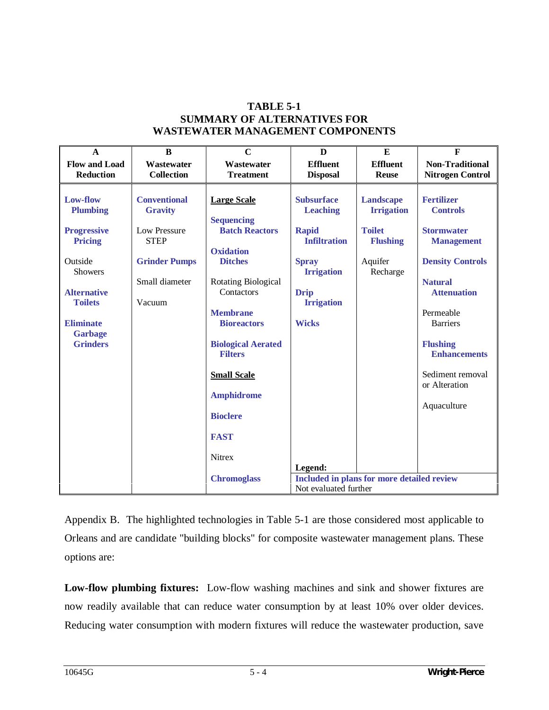#### **TABLE 5-1 SUMMARY OF ALTERNATIVES FOR WASTEWATER MANAGEMENT COMPONENTS**

| $\mathbf{A}$                                                                                                                                                                                      | $\bf{B}$                                                                                                                 | $\mathbf C$                                                                                                                                                                                                                                                                                                      | $\bf{D}$                                                                                                                                                             | E                                                                                         | $\mathbf{F}$                                                                                                                                                                                                                                                                    |  |
|---------------------------------------------------------------------------------------------------------------------------------------------------------------------------------------------------|--------------------------------------------------------------------------------------------------------------------------|------------------------------------------------------------------------------------------------------------------------------------------------------------------------------------------------------------------------------------------------------------------------------------------------------------------|----------------------------------------------------------------------------------------------------------------------------------------------------------------------|-------------------------------------------------------------------------------------------|---------------------------------------------------------------------------------------------------------------------------------------------------------------------------------------------------------------------------------------------------------------------------------|--|
| <b>Flow and Load</b><br><b>Reduction</b>                                                                                                                                                          | Wastewater<br><b>Collection</b>                                                                                          | Wastewater<br><b>Treatment</b>                                                                                                                                                                                                                                                                                   | <b>Effluent</b><br><b>Disposal</b>                                                                                                                                   | <b>Effluent</b><br><b>Reuse</b>                                                           | <b>Non-Traditional</b><br><b>Nitrogen Control</b>                                                                                                                                                                                                                               |  |
| Low-flow<br><b>Plumbing</b><br><b>Progressive</b><br><b>Pricing</b><br>Outside<br><b>Showers</b><br><b>Alternative</b><br><b>Toilets</b><br><b>Eliminate</b><br><b>Garbage</b><br><b>Grinders</b> | <b>Conventional</b><br><b>Gravity</b><br>Low Pressure<br><b>STEP</b><br><b>Grinder Pumps</b><br>Small diameter<br>Vacuum | <b>Large Scale</b><br><b>Sequencing</b><br><b>Batch Reactors</b><br><b>Oxidation</b><br><b>Ditches</b><br>Rotating Biological<br>Contactors<br><b>Membrane</b><br><b>Bioreactors</b><br><b>Biological Aerated</b><br><b>Filters</b><br><b>Small Scale</b><br><b>Amphidrome</b><br><b>Bioclere</b><br><b>FAST</b> | <b>Subsurface</b><br><b>Leaching</b><br><b>Rapid</b><br><b>Infiltration</b><br><b>Spray</b><br><b>Irrigation</b><br><b>Drip</b><br><b>Irrigation</b><br><b>Wicks</b> | Landscape<br><b>Irrigation</b><br><b>Toilet</b><br><b>Flushing</b><br>Aquifer<br>Recharge | <b>Fertilizer</b><br><b>Controls</b><br><b>Stormwater</b><br><b>Management</b><br><b>Density Controls</b><br><b>Natural</b><br><b>Attenuation</b><br>Permeable<br><b>Barriers</b><br><b>Flushing</b><br><b>Enhancements</b><br>Sediment removal<br>or Alteration<br>Aquaculture |  |
|                                                                                                                                                                                                   |                                                                                                                          | Nitrex                                                                                                                                                                                                                                                                                                           | Legend:                                                                                                                                                              |                                                                                           |                                                                                                                                                                                                                                                                                 |  |
|                                                                                                                                                                                                   |                                                                                                                          | <b>Chromoglass</b>                                                                                                                                                                                                                                                                                               | Included in plans for more detailed review<br>Not evaluated further                                                                                                  |                                                                                           |                                                                                                                                                                                                                                                                                 |  |

Appendix B. The highlighted technologies in Table 5-1 are those considered most applicable to Orleans and are candidate "building blocks" for composite wastewater management plans. These options are:

**Low-flow plumbing fixtures:** Low-flow washing machines and sink and shower fixtures are now readily available that can reduce water consumption by at least 10% over older devices. Reducing water consumption with modern fixtures will reduce the wastewater production, save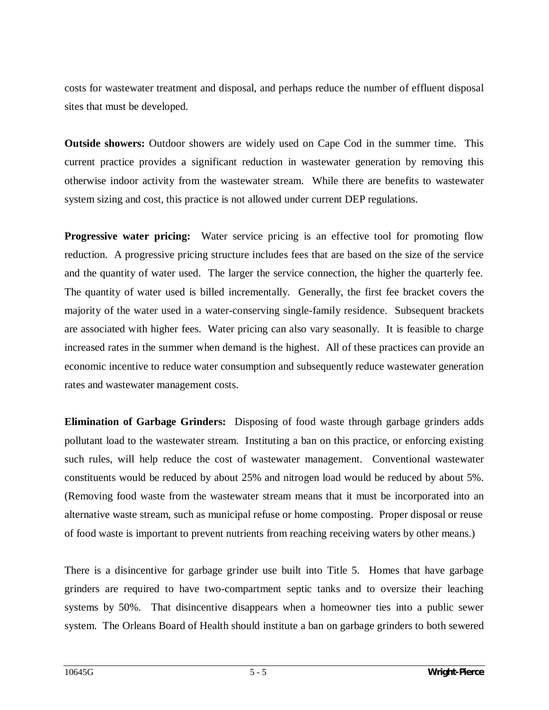costs for wastewater treatment and disposal, and perhaps reduce the number of effluent disposal sites that must be developed.

**Outside showers:** Outdoor showers are widely used on Cape Cod in the summer time. This current practice provides a significant reduction in wastewater generation by removing this otherwise indoor activity from the wastewater stream. While there are benefits to wastewater system sizing and cost, this practice is not allowed under current DEP regulations.

**Progressive water pricing:** Water service pricing is an effective tool for promoting flow reduction. A progressive pricing structure includes fees that are based on the size of the service and the quantity of water used. The larger the service connection, the higher the quarterly fee. The quantity of water used is billed incrementally. Generally, the first fee bracket covers the majority of the water used in a water-conserving single-family residence. Subsequent brackets are associated with higher fees. Water pricing can also vary seasonally. It is feasible to charge increased rates in the summer when demand is the highest. All of these practices can provide an economic incentive to reduce water consumption and subsequently reduce wastewater generation rates and wastewater management costs.

**Elimination of Garbage Grinders:** Disposing of food waste through garbage grinders adds pollutant load to the wastewater stream. Instituting a ban on this practice, or enforcing existing such rules, will help reduce the cost of wastewater management. Conventional wastewater constituents would be reduced by about 25% and nitrogen load would be reduced by about 5%. (Removing food waste from the wastewater stream means that it must be incorporated into an alternative waste stream, such as municipal refuse or home composting. Proper disposal or reuse of food waste is important to prevent nutrients from reaching receiving waters by other means.)

There is a disincentive for garbage grinder use built into Title 5. Homes that have garbage grinders are required to have two-compartment septic tanks and to oversize their leaching systems by 50%. That disincentive disappears when a homeowner ties into a public sewer system. The Orleans Board of Health should institute a ban on garbage grinders to both sewered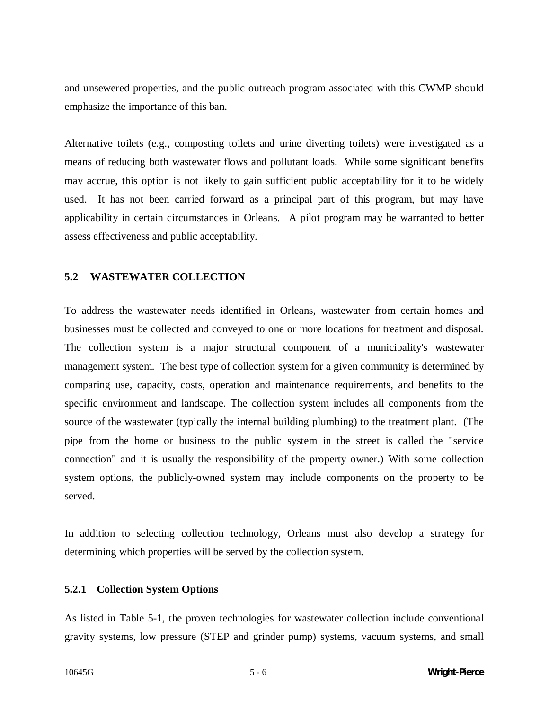and unsewered properties, and the public outreach program associated with this CWMP should emphasize the importance of this ban.

Alternative toilets (e.g., composting toilets and urine diverting toilets) were investigated as a means of reducing both wastewater flows and pollutant loads. While some significant benefits may accrue, this option is not likely to gain sufficient public acceptability for it to be widely used. It has not been carried forward as a principal part of this program, but may have applicability in certain circumstances in Orleans.A pilot program may be warranted to better assess effectiveness and public acceptability.

#### **5.2 WASTEWATER COLLECTION**

To address the wastewater needs identified in Orleans, wastewater from certain homes and businesses must be collected and conveyed to one or more locations for treatment and disposal. The collection system is a major structural component of a municipality's wastewater management system. The best type of collection system for a given community is determined by comparing use, capacity, costs, operation and maintenance requirements, and benefits to the specific environment and landscape. The collection system includes all components from the source of the wastewater (typically the internal building plumbing) to the treatment plant. (The pipe from the home or business to the public system in the street is called the "service connection" and it is usually the responsibility of the property owner.) With some collection system options, the publicly-owned system may include components on the property to be served.

In addition to selecting collection technology, Orleans must also develop a strategy for determining which properties will be served by the collection system.

#### **5.2.1 Collection System Options**

As listed in Table 5-1, the proven technologies for wastewater collection include conventional gravity systems, low pressure (STEP and grinder pump) systems, vacuum systems, and small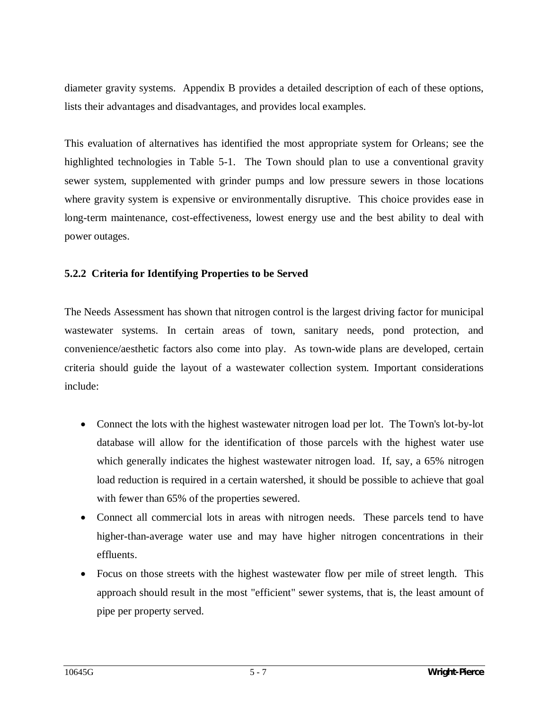diameter gravity systems. Appendix B provides a detailed description of each of these options, lists their advantages and disadvantages, and provides local examples.

This evaluation of alternatives has identified the most appropriate system for Orleans; see the highlighted technologies in Table 5-1. The Town should plan to use a conventional gravity sewer system, supplemented with grinder pumps and low pressure sewers in those locations where gravity system is expensive or environmentally disruptive. This choice provides ease in long-term maintenance, cost-effectiveness, lowest energy use and the best ability to deal with power outages.

#### **5.2.2 Criteria for Identifying Properties to be Served**

The Needs Assessment has shown that nitrogen control is the largest driving factor for municipal wastewater systems. In certain areas of town, sanitary needs, pond protection, and convenience/aesthetic factors also come into play. As town-wide plans are developed, certain criteria should guide the layout of a wastewater collection system. Important considerations include:

- Connect the lots with the highest wastewater nitrogen load per lot. The Town's lot-by-lot database will allow for the identification of those parcels with the highest water use which generally indicates the highest wastewater nitrogen load. If, say, a 65% nitrogen load reduction is required in a certain watershed, it should be possible to achieve that goal with fewer than 65% of the properties sewered.
- Connect all commercial lots in areas with nitrogen needs. These parcels tend to have higher-than-average water use and may have higher nitrogen concentrations in their effluents.
- Focus on those streets with the highest wastewater flow per mile of street length. This approach should result in the most "efficient" sewer systems, that is, the least amount of pipe per property served.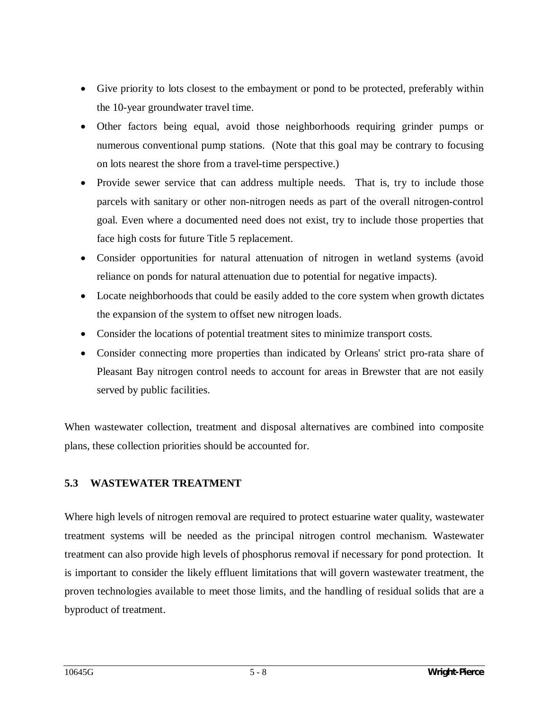- Give priority to lots closest to the embayment or pond to be protected, preferably within the 10-year groundwater travel time.
- Other factors being equal, avoid those neighborhoods requiring grinder pumps or numerous conventional pump stations. (Note that this goal may be contrary to focusing on lots nearest the shore from a travel-time perspective.)
- Provide sewer service that can address multiple needs. That is, try to include those parcels with sanitary or other non-nitrogen needs as part of the overall nitrogen-control goal. Even where a documented need does not exist, try to include those properties that face high costs for future Title 5 replacement.
- Consider opportunities for natural attenuation of nitrogen in wetland systems (avoid reliance on ponds for natural attenuation due to potential for negative impacts).
- Locate neighborhoods that could be easily added to the core system when growth dictates the expansion of the system to offset new nitrogen loads.
- Consider the locations of potential treatment sites to minimize transport costs.
- Consider connecting more properties than indicated by Orleans' strict pro-rata share of Pleasant Bay nitrogen control needs to account for areas in Brewster that are not easily served by public facilities.

When wastewater collection, treatment and disposal alternatives are combined into composite plans, these collection priorities should be accounted for.

## **5.3 WASTEWATER TREATMENT**

Where high levels of nitrogen removal are required to protect estuarine water quality, wastewater treatment systems will be needed as the principal nitrogen control mechanism. Wastewater treatment can also provide high levels of phosphorus removal if necessary for pond protection. It is important to consider the likely effluent limitations that will govern wastewater treatment, the proven technologies available to meet those limits, and the handling of residual solids that are a byproduct of treatment.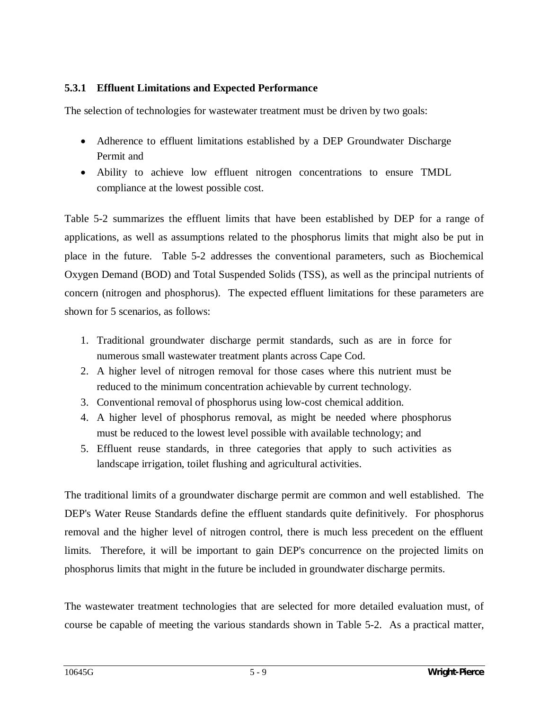## **5.3.1 Effluent Limitations and Expected Performance**

The selection of technologies for wastewater treatment must be driven by two goals:

- Adherence to effluent limitations established by a DEP Groundwater Discharge Permit and
- Ability to achieve low effluent nitrogen concentrations to ensure TMDL compliance at the lowest possible cost.

Table 5-2 summarizes the effluent limits that have been established by DEP for a range of applications, as well as assumptions related to the phosphorus limits that might also be put in place in the future. Table 5-2 addresses the conventional parameters, such as Biochemical Oxygen Demand (BOD) and Total Suspended Solids (TSS), as well as the principal nutrients of concern (nitrogen and phosphorus). The expected effluent limitations for these parameters are shown for 5 scenarios, as follows:

- 1. Traditional groundwater discharge permit standards, such as are in force for numerous small wastewater treatment plants across Cape Cod.
- 2. A higher level of nitrogen removal for those cases where this nutrient must be reduced to the minimum concentration achievable by current technology.
- 3. Conventional removal of phosphorus using low-cost chemical addition.
- 4. A higher level of phosphorus removal, as might be needed where phosphorus must be reduced to the lowest level possible with available technology; and
- 5. Effluent reuse standards, in three categories that apply to such activities as landscape irrigation, toilet flushing and agricultural activities.

The traditional limits of a groundwater discharge permit are common and well established. The DEP's Water Reuse Standards define the effluent standards quite definitively. For phosphorus removal and the higher level of nitrogen control, there is much less precedent on the effluent limits. Therefore, it will be important to gain DEP's concurrence on the projected limits on phosphorus limits that might in the future be included in groundwater discharge permits.

The wastewater treatment technologies that are selected for more detailed evaluation must, of course be capable of meeting the various standards shown in Table 5-2. As a practical matter,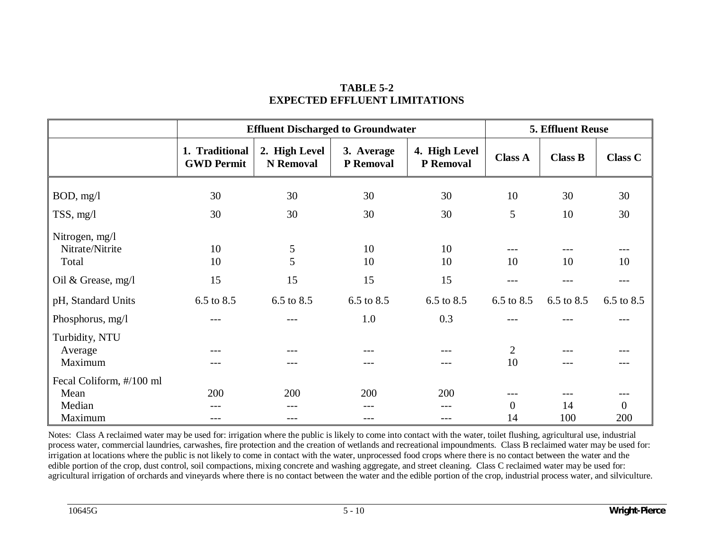|                                            | <b>Effluent Discharged to Groundwater</b> |                                   |                         |                            | 5. Effluent Reuse    |                |                |
|--------------------------------------------|-------------------------------------------|-----------------------------------|-------------------------|----------------------------|----------------------|----------------|----------------|
|                                            | 1. Traditional<br><b>GWD Permit</b>       | 2. High Level<br><b>N</b> Removal | 3. Average<br>P Removal | 4. High Level<br>P Removal | <b>Class A</b>       | <b>Class B</b> | <b>Class C</b> |
| BOD, mg/l                                  | 30                                        | 30                                | 30                      | 30                         | 10                   | 30             | 30             |
| $TSS$ , mg/l                               | 30                                        | 30                                | 30                      | 30                         | 5                    | 10             | 30             |
| Nitrogen, mg/l<br>Nitrate/Nitrite<br>Total | 10<br>10                                  | $\mathfrak{S}$<br>5               | 10<br>10                | 10<br>10                   | 10                   | 10             | 10             |
| Oil & Grease, mg/l                         | 15                                        | 15                                | 15                      | 15                         | ---                  | $- - -$        | ---            |
| pH, Standard Units                         | 6.5 to 8.5                                | 6.5 to 8.5                        | 6.5 to 8.5              | 6.5 to 8.5                 | 6.5 to 8.5           | 6.5 to 8.5     | 6.5 to 8.5     |
| Phosphorus, mg/l                           |                                           | ---                               | 1.0                     | 0.3                        |                      |                |                |
| Turbidity, NTU<br>Average<br>Maximum       | ---                                       | ---<br>---                        |                         | ---                        | $\overline{2}$<br>10 | ---<br>---     |                |
| Fecal Coliform, #/100 ml                   |                                           |                                   |                         |                            |                      |                |                |
| Mean                                       | 200                                       | 200                               | 200                     | 200                        |                      |                |                |
| Median                                     | ---                                       | ---                               | ---                     | ---                        | $\overline{0}$       | 14             | $\Omega$       |
| Maximum                                    | ---                                       | ---                               | ---                     | ---                        | 14                   | 100            | 200            |

# **TABLE 5-2 EXPECTED EFFLUENT LIMITATIONS**

Notes: Class A reclaimed water may be used for: irrigation where the public is likely to come into contact with the water, toilet flushing, agricultural use, industrial process water, commercial laundries, carwashes, fire protection and the creation of wetlands and recreational impoundments. Class B reclaimed water may be used for: irrigation at locations where the public is not likely to come in contact with the water, unprocessed food crops where there is no contact between the water and the edible portion of the crop, dust control, soil compactions, mixing concrete and washing aggregate, and street cleaning. Class C reclaimed water may be used for: agricultural irrigation of orchards and vineyards where there is no contact between the water and the edible portion of the crop, industrial process water, and silviculture.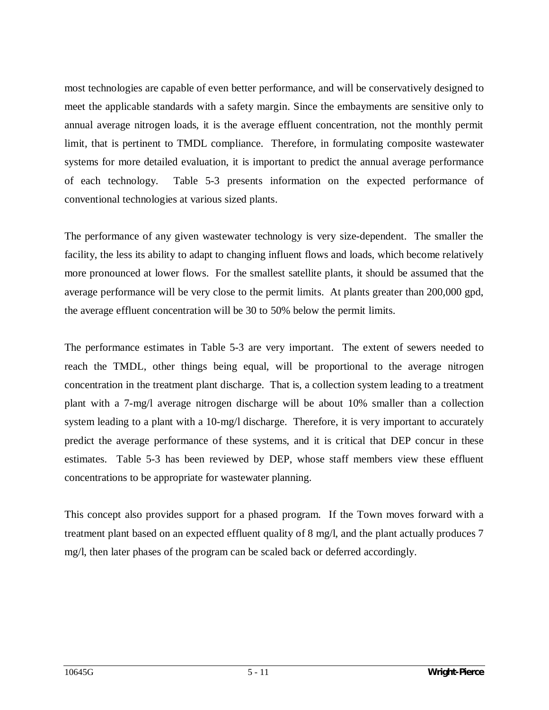most technologies are capable of even better performance, and will be conservatively designed to meet the applicable standards with a safety margin. Since the embayments are sensitive only to annual average nitrogen loads, it is the average effluent concentration, not the monthly permit limit, that is pertinent to TMDL compliance. Therefore, in formulating composite wastewater systems for more detailed evaluation, it is important to predict the annual average performance of each technology. Table 5-3 presents information on the expected performance of conventional technologies at various sized plants.

The performance of any given wastewater technology is very size-dependent. The smaller the facility, the less its ability to adapt to changing influent flows and loads, which become relatively more pronounced at lower flows. For the smallest satellite plants, it should be assumed that the average performance will be very close to the permit limits. At plants greater than 200,000 gpd, the average effluent concentration will be 30 to 50% below the permit limits.

The performance estimates in Table 5-3 are very important. The extent of sewers needed to reach the TMDL, other things being equal, will be proportional to the average nitrogen concentration in the treatment plant discharge. That is, a collection system leading to a treatment plant with a 7-mg/l average nitrogen discharge will be about 10% smaller than a collection system leading to a plant with a 10-mg/l discharge. Therefore, it is very important to accurately predict the average performance of these systems, and it is critical that DEP concur in these estimates. Table 5-3 has been reviewed by DEP, whose staff members view these effluent concentrations to be appropriate for wastewater planning.

This concept also provides support for a phased program. If the Town moves forward with a treatment plant based on an expected effluent quality of 8 mg/l, and the plant actually produces 7 mg/l, then later phases of the program can be scaled back or deferred accordingly.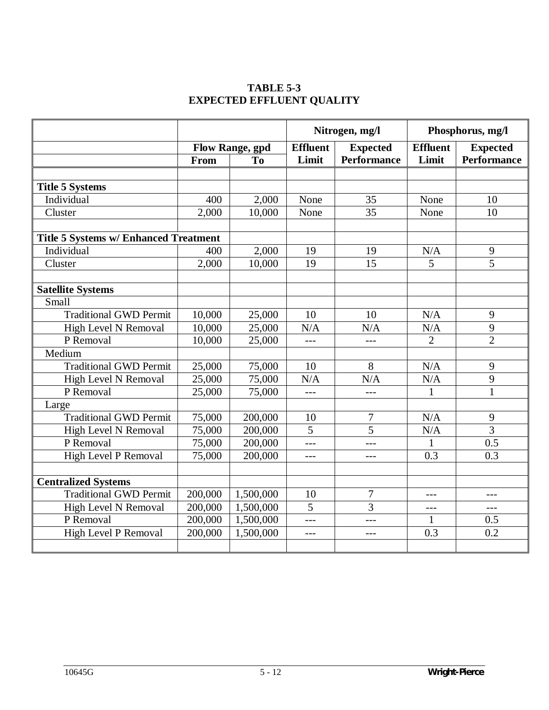# **TABLE 5-3 EXPECTED EFFLUENT QUALITY**

|                                              |                        |                | Nitrogen, mg/l                     |                    | Phosphorus, mg/l |                    |
|----------------------------------------------|------------------------|----------------|------------------------------------|--------------------|------------------|--------------------|
|                                              | <b>Flow Range, gpd</b> |                | <b>Effluent</b><br><b>Expected</b> |                    | <b>Effluent</b>  | <b>Expected</b>    |
|                                              | From                   | T <sub>0</sub> | Limit                              | <b>Performance</b> | Limit            | <b>Performance</b> |
|                                              |                        |                |                                    |                    |                  |                    |
| <b>Title 5 Systems</b>                       |                        |                |                                    |                    |                  |                    |
| Individual                                   | 400                    | 2,000          | None                               | 35                 | None             | 10                 |
| Cluster                                      | 2,000                  | 10,000         | None                               | 35                 | None             | 10                 |
| <b>Title 5 Systems w/ Enhanced Treatment</b> |                        |                |                                    |                    |                  |                    |
| Individual                                   |                        |                | 19                                 | 19                 |                  |                    |
|                                              | 400                    | 2,000          |                                    |                    | N/A              | 9                  |
| Cluster                                      | 2,000                  | 10,000         | 19                                 | 15                 | 5                | 5                  |
| <b>Satellite Systems</b>                     |                        |                |                                    |                    |                  |                    |
| Small                                        |                        |                |                                    |                    |                  |                    |
| <b>Traditional GWD Permit</b>                | 10,000                 | 25,000         | 10                                 | 10                 | N/A              | 9                  |
| High Level N Removal                         | 10,000                 | 25,000         | N/A                                | N/A                | N/A              | 9                  |
| P Removal                                    | 10,000                 | 25,000         | $---$                              | $---$              | $\overline{2}$   | $\overline{2}$     |
| Medium                                       |                        |                |                                    |                    |                  |                    |
| <b>Traditional GWD Permit</b>                | 25,000                 | 75,000         | 10                                 | 8                  | N/A              | 9                  |
| High Level N Removal                         | 25,000                 | 75,000         | N/A                                | N/A                | N/A              | 9                  |
| P Removal                                    | 25,000                 | 75,000         | ---                                | $---$              | 1                | $\mathbf{1}$       |
| Large                                        |                        |                |                                    |                    |                  |                    |
| <b>Traditional GWD Permit</b>                | 75,000                 | 200,000        | 10                                 | 7                  | N/A              | 9                  |
| High Level N Removal                         | 75,000                 | 200,000        | $\overline{5}$                     | $\overline{5}$     | N/A              | $\overline{3}$     |
| P Removal                                    | 75,000                 | 200,000        | $---$                              | $---$              | 1                | 0.5                |
| <b>High Level P Removal</b>                  | 75,000                 | 200,000        | ---                                | $---$              | 0.3              | 0.3                |
|                                              |                        |                |                                    |                    |                  |                    |
| <b>Centralized Systems</b>                   |                        |                |                                    |                    |                  |                    |
| <b>Traditional GWD Permit</b>                | 200,000                | 1,500,000      | 10                                 | $\overline{7}$     | $---$            | $ -$               |
| High Level N Removal                         | 200,000                | 1,500,000      | 5                                  | 3                  | $---$            | $---$              |
| P Removal                                    | 200,000                | 1,500,000      | ---                                | $---$              | 1                | 0.5                |
| High Level P Removal                         | 200,000                | 1,500,000      | $---$                              | $---$              | 0.3              | 0.2                |
|                                              |                        |                |                                    |                    |                  |                    |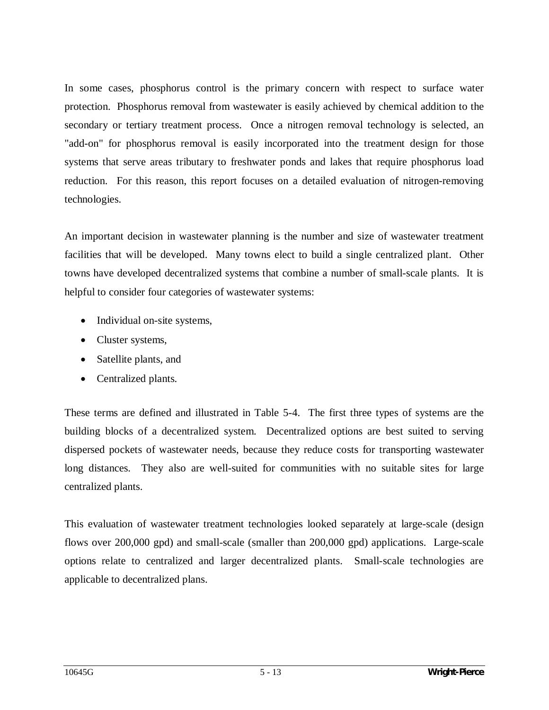In some cases, phosphorus control is the primary concern with respect to surface water protection. Phosphorus removal from wastewater is easily achieved by chemical addition to the secondary or tertiary treatment process. Once a nitrogen removal technology is selected, an "add-on" for phosphorus removal is easily incorporated into the treatment design for those systems that serve areas tributary to freshwater ponds and lakes that require phosphorus load reduction. For this reason, this report focuses on a detailed evaluation of nitrogen-removing technologies.

An important decision in wastewater planning is the number and size of wastewater treatment facilities that will be developed. Many towns elect to build a single centralized plant. Other towns have developed decentralized systems that combine a number of small-scale plants. It is helpful to consider four categories of wastewater systems:

- Individual on-site systems,
- Cluster systems,
- Satellite plants, and
- Centralized plants.

These terms are defined and illustrated in Table 5-4. The first three types of systems are the building blocks of a decentralized system. Decentralized options are best suited to serving dispersed pockets of wastewater needs, because they reduce costs for transporting wastewater long distances. They also are well-suited for communities with no suitable sites for large centralized plants.

This evaluation of wastewater treatment technologies looked separately at large-scale (design flows over 200,000 gpd) and small-scale (smaller than 200,000 gpd) applications. Large-scale options relate to centralized and larger decentralized plants. Small-scale technologies are applicable to decentralized plans.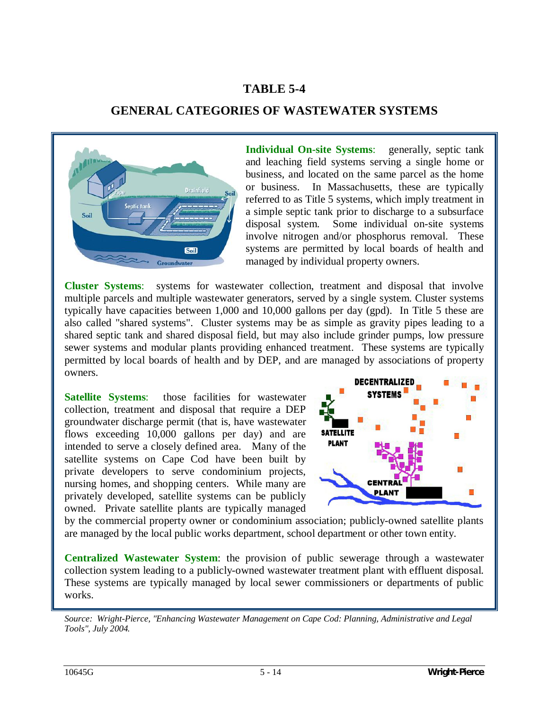# **TABLE 5-4**

# **GENERAL CATEGORIES OF WASTEWATER SYSTEMS**



**Individual On-site Systems**: generally, septic tank and leaching field systems serving a single home or business, and located on the same parcel as the home or business. In Massachusetts, these are typically referred to as Title 5 systems, which imply treatment in a simple septic tank prior to discharge to a subsurface disposal system. Some individual on-site systems involve nitrogen and/or phosphorus removal. These systems are permitted by local boards of health and managed by individual property owners.

**Cluster Systems**: systems for wastewater collection, treatment and disposal that involve multiple parcels and multiple wastewater generators, served by a single system. Cluster systems typically have capacities between 1,000 and 10,000 gallons per day (gpd). In Title 5 these are also called "shared systems". Cluster systems may be as simple as gravity pipes leading to a shared septic tank and shared disposal field, but may also include grinder pumps, low pressure sewer systems and modular plants providing enhanced treatment. These systems are typically permitted by local boards of health and by DEP, and are managed by associations of property owners.

**Satellite Systems**: those facilities for wastewater collection, treatment and disposal that require a DEP groundwater discharge permit (that is, have wastewater flows exceeding 10,000 gallons per day) and are intended to serve a closely defined area. Many of the satellite systems on Cape Cod have been built by private developers to serve condominium projects, nursing homes, and shopping centers. While many are privately developed, satellite systems can be publicly owned. Private satellite plants are typically managed



by the commercial property owner or condominium association; publicly-owned satellite plants are managed by the local public works department, school department or other town entity.

**Centralized Wastewater System**: the provision of public sewerage through a wastewater collection system leading to a publicly-owned wastewater treatment plant with effluent disposal. These systems are typically managed by local sewer commissioners or departments of public works.

*Source: Wright-Pierce, "Enhancing Wastewater Management on Cape Cod: Planning, Administrative and Legal Tools", July 2004.*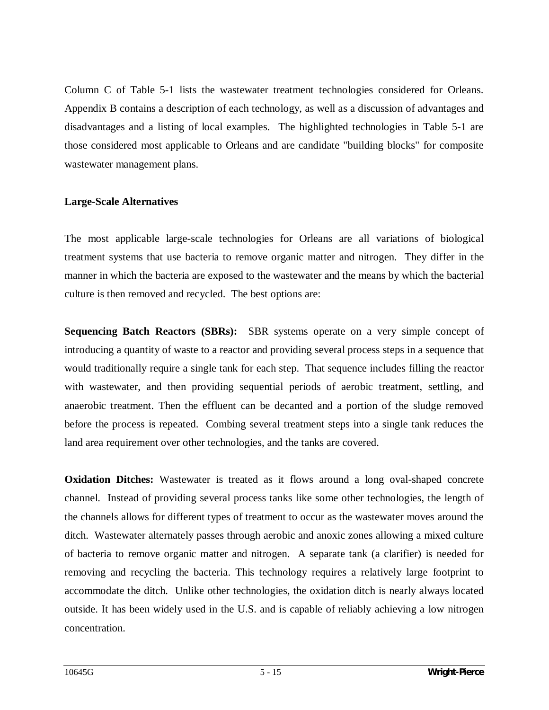Column C of Table 5-1 lists the wastewater treatment technologies considered for Orleans. Appendix B contains a description of each technology, as well as a discussion of advantages and disadvantages and a listing of local examples. The highlighted technologies in Table 5-1 are those considered most applicable to Orleans and are candidate "building blocks" for composite wastewater management plans.

#### **Large-Scale Alternatives**

The most applicable large-scale technologies for Orleans are all variations of biological treatment systems that use bacteria to remove organic matter and nitrogen. They differ in the manner in which the bacteria are exposed to the wastewater and the means by which the bacterial culture is then removed and recycled. The best options are:

**Sequencing Batch Reactors (SBRs):** SBR systems operate on a very simple concept of introducing a quantity of waste to a reactor and providing several process steps in a sequence that would traditionally require a single tank for each step. That sequence includes filling the reactor with wastewater, and then providing sequential periods of aerobic treatment, settling, and anaerobic treatment. Then the effluent can be decanted and a portion of the sludge removed before the process is repeated. Combing several treatment steps into a single tank reduces the land area requirement over other technologies, and the tanks are covered.

**Oxidation Ditches:** Wastewater is treated as it flows around a long oval-shaped concrete channel. Instead of providing several process tanks like some other technologies, the length of the channels allows for different types of treatment to occur as the wastewater moves around the ditch. Wastewater alternately passes through aerobic and anoxic zones allowing a mixed culture of bacteria to remove organic matter and nitrogen. A separate tank (a clarifier) is needed for removing and recycling the bacteria. This technology requires a relatively large footprint to accommodate the ditch. Unlike other technologies, the oxidation ditch is nearly always located outside. It has been widely used in the U.S. and is capable of reliably achieving a low nitrogen concentration.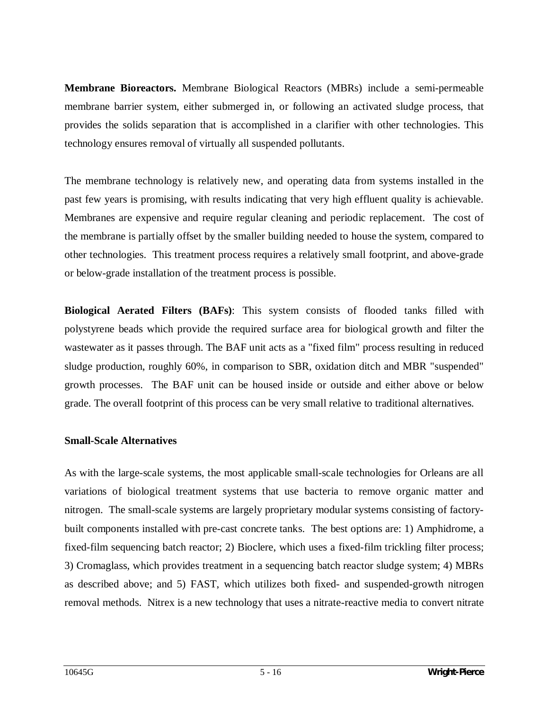**Membrane Bioreactors.** Membrane Biological Reactors (MBRs) include a semi-permeable membrane barrier system, either submerged in, or following an activated sludge process, that provides the solids separation that is accomplished in a clarifier with other technologies. This technology ensures removal of virtually all suspended pollutants.

The membrane technology is relatively new, and operating data from systems installed in the past few years is promising, with results indicating that very high effluent quality is achievable. Membranes are expensive and require regular cleaning and periodic replacement. The cost of the membrane is partially offset by the smaller building needed to house the system, compared to other technologies. This treatment process requires a relatively small footprint, and above-grade or below-grade installation of the treatment process is possible.

**Biological Aerated Filters (BAFs)**: This system consists of flooded tanks filled with polystyrene beads which provide the required surface area for biological growth and filter the wastewater as it passes through. The BAF unit acts as a "fixed film" process resulting in reduced sludge production, roughly 60%, in comparison to SBR, oxidation ditch and MBR "suspended" growth processes. The BAF unit can be housed inside or outside and either above or below grade. The overall footprint of this process can be very small relative to traditional alternatives.

#### **Small-Scale Alternatives**

As with the large-scale systems, the most applicable small-scale technologies for Orleans are all variations of biological treatment systems that use bacteria to remove organic matter and nitrogen. The small-scale systems are largely proprietary modular systems consisting of factorybuilt components installed with pre-cast concrete tanks. The best options are: 1) Amphidrome, a fixed-film sequencing batch reactor; 2) Bioclere, which uses a fixed-film trickling filter process; 3) Cromaglass, which provides treatment in a sequencing batch reactor sludge system; 4) MBRs as described above; and 5) FAST, which utilizes both fixed- and suspended-growth nitrogen removal methods. Nitrex is a new technology that uses a nitrate-reactive media to convert nitrate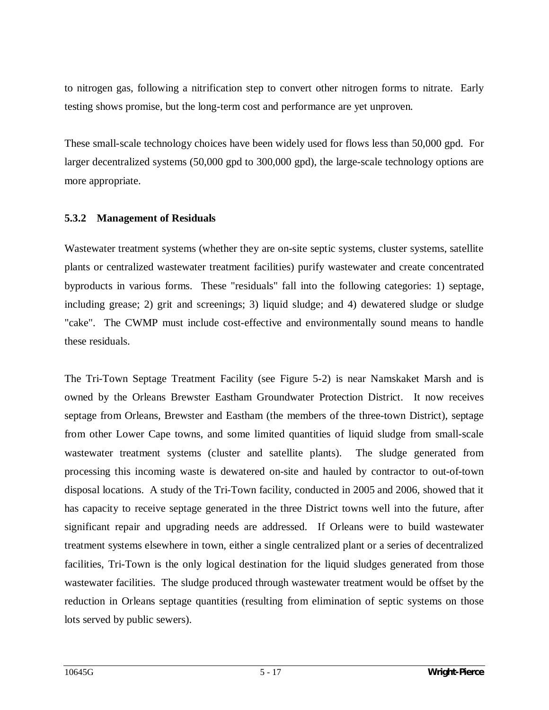to nitrogen gas, following a nitrification step to convert other nitrogen forms to nitrate. Early testing shows promise, but the long-term cost and performance are yet unproven.

These small-scale technology choices have been widely used for flows less than 50,000 gpd. For larger decentralized systems (50,000 gpd to 300,000 gpd), the large-scale technology options are more appropriate.

#### **5.3.2 Management of Residuals**

Wastewater treatment systems (whether they are on-site septic systems, cluster systems, satellite plants or centralized wastewater treatment facilities) purify wastewater and create concentrated byproducts in various forms. These "residuals" fall into the following categories: 1) septage, including grease; 2) grit and screenings; 3) liquid sludge; and 4) dewatered sludge or sludge "cake". The CWMP must include cost-effective and environmentally sound means to handle these residuals.

The Tri-Town Septage Treatment Facility (see Figure 5-2) is near Namskaket Marsh and is owned by the Orleans Brewster Eastham Groundwater Protection District. It now receives septage from Orleans, Brewster and Eastham (the members of the three-town District), septage from other Lower Cape towns, and some limited quantities of liquid sludge from small-scale wastewater treatment systems (cluster and satellite plants). The sludge generated from processing this incoming waste is dewatered on-site and hauled by contractor to out-of-town disposal locations. A study of the Tri-Town facility, conducted in 2005 and 2006, showed that it has capacity to receive septage generated in the three District towns well into the future, after significant repair and upgrading needs are addressed. If Orleans were to build wastewater treatment systems elsewhere in town, either a single centralized plant or a series of decentralized facilities, Tri-Town is the only logical destination for the liquid sludges generated from those wastewater facilities. The sludge produced through wastewater treatment would be offset by the reduction in Orleans septage quantities (resulting from elimination of septic systems on those lots served by public sewers).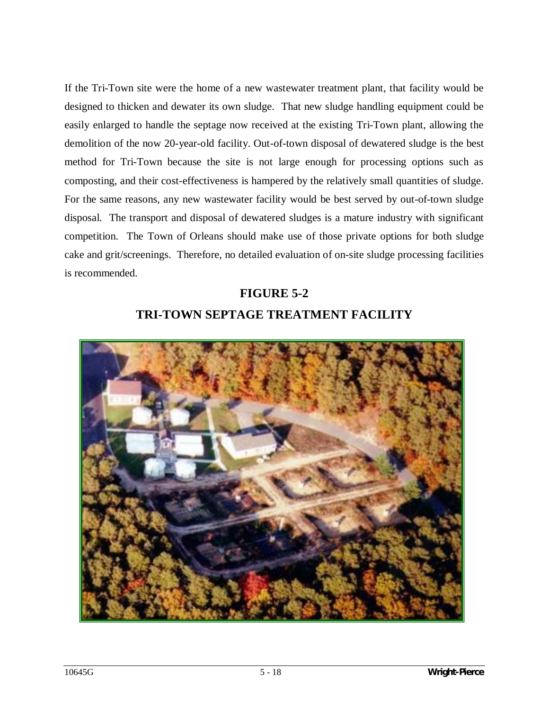If the Tri-Town site were the home of a new wastewater treatment plant, that facility would be designed to thicken and dewater its own sludge. That new sludge handling equipment could be easily enlarged to handle the septage now received at the existing Tri-Town plant, allowing the demolition of the now 20-year-old facility. Out-of-town disposal of dewatered sludge is the best method for Tri-Town because the site is not large enough for processing options such as composting, and their cost-effectiveness is hampered by the relatively small quantities of sludge. For the same reasons, any new wastewater facility would be best served by out-of-town sludge disposal. The transport and disposal of dewatered sludges is a mature industry with significant competition. The Town of Orleans should make use of those private options for both sludge cake and grit/screenings. Therefore, no detailed evaluation of on-site sludge processing facilities is recommended.

# **FIGURE 5-2 TRI-TOWN SEPTAGE TREATMENT FACILITY**

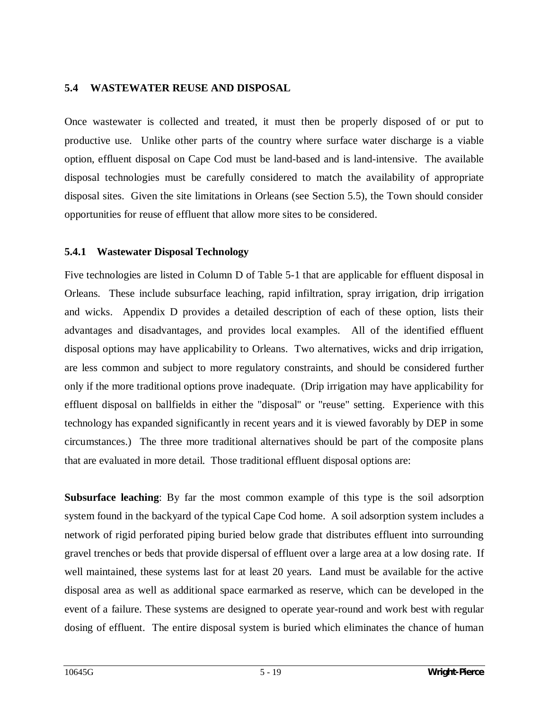#### **5.4 WASTEWATER REUSE AND DISPOSAL**

Once wastewater is collected and treated, it must then be properly disposed of or put to productive use. Unlike other parts of the country where surface water discharge is a viable option, effluent disposal on Cape Cod must be land-based and is land-intensive. The available disposal technologies must be carefully considered to match the availability of appropriate disposal sites. Given the site limitations in Orleans (see Section 5.5), the Town should consider opportunities for reuse of effluent that allow more sites to be considered.

#### **5.4.1 Wastewater Disposal Technology**

Five technologies are listed in Column D of Table 5-1 that are applicable for effluent disposal in Orleans. These include subsurface leaching, rapid infiltration, spray irrigation, drip irrigation and wicks. Appendix D provides a detailed description of each of these option, lists their advantages and disadvantages, and provides local examples. All of the identified effluent disposal options may have applicability to Orleans. Two alternatives, wicks and drip irrigation, are less common and subject to more regulatory constraints, and should be considered further only if the more traditional options prove inadequate. (Drip irrigation may have applicability for effluent disposal on ballfields in either the "disposal" or "reuse" setting. Experience with this technology has expanded significantly in recent years and it is viewed favorably by DEP in some circumstances.) The three more traditional alternatives should be part of the composite plans that are evaluated in more detail. Those traditional effluent disposal options are:

**Subsurface leaching**: By far the most common example of this type is the soil adsorption system found in the backyard of the typical Cape Cod home. A soil adsorption system includes a network of rigid perforated piping buried below grade that distributes effluent into surrounding gravel trenches or beds that provide dispersal of effluent over a large area at a low dosing rate. If well maintained, these systems last for at least 20 years. Land must be available for the active disposal area as well as additional space earmarked as reserve, which can be developed in the event of a failure. These systems are designed to operate year-round and work best with regular dosing of effluent. The entire disposal system is buried which eliminates the chance of human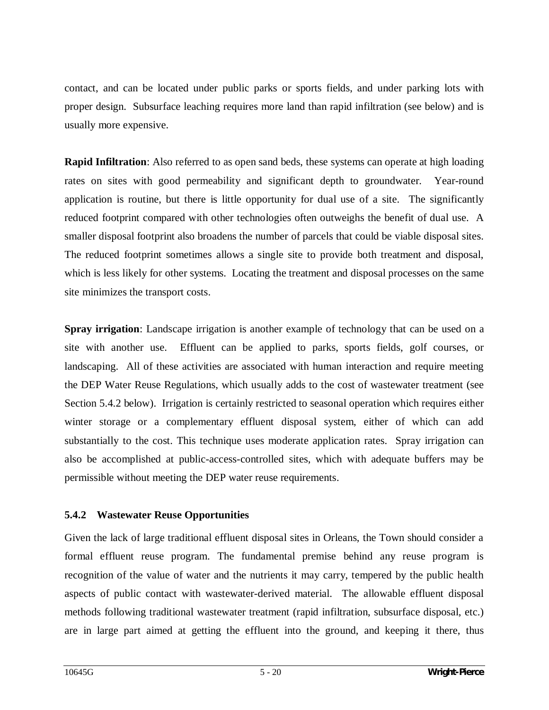contact, and can be located under public parks or sports fields, and under parking lots with proper design. Subsurface leaching requires more land than rapid infiltration (see below) and is usually more expensive.

**Rapid Infiltration**: Also referred to as open sand beds, these systems can operate at high loading rates on sites with good permeability and significant depth to groundwater. Year-round application is routine, but there is little opportunity for dual use of a site. The significantly reduced footprint compared with other technologies often outweighs the benefit of dual use. A smaller disposal footprint also broadens the number of parcels that could be viable disposal sites. The reduced footprint sometimes allows a single site to provide both treatment and disposal, which is less likely for other systems. Locating the treatment and disposal processes on the same site minimizes the transport costs.

**Spray irrigation**: Landscape irrigation is another example of technology that can be used on a site with another use. Effluent can be applied to parks, sports fields, golf courses, or landscaping. All of these activities are associated with human interaction and require meeting the DEP Water Reuse Regulations, which usually adds to the cost of wastewater treatment (see Section 5.4.2 below). Irrigation is certainly restricted to seasonal operation which requires either winter storage or a complementary effluent disposal system, either of which can add substantially to the cost. This technique uses moderate application rates. Spray irrigation can also be accomplished at public-access-controlled sites, which with adequate buffers may be permissible without meeting the DEP water reuse requirements.

## **5.4.2 Wastewater Reuse Opportunities**

Given the lack of large traditional effluent disposal sites in Orleans, the Town should consider a formal effluent reuse program. The fundamental premise behind any reuse program is recognition of the value of water and the nutrients it may carry, tempered by the public health aspects of public contact with wastewater-derived material. The allowable effluent disposal methods following traditional wastewater treatment (rapid infiltration, subsurface disposal, etc.) are in large part aimed at getting the effluent into the ground, and keeping it there, thus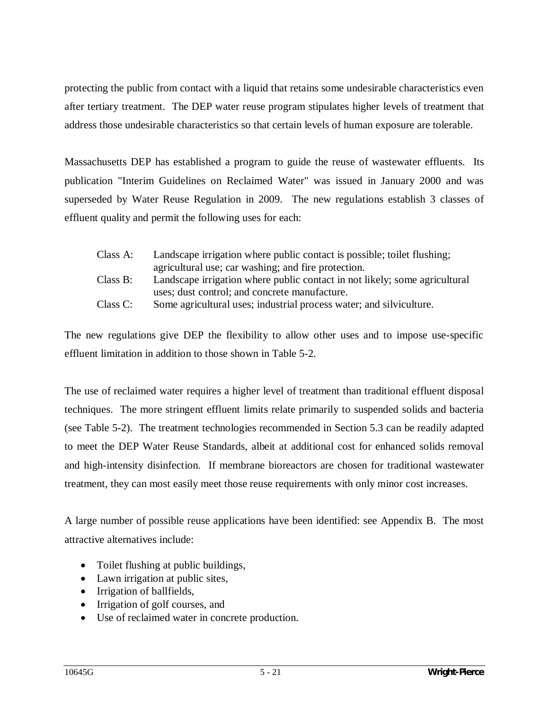protecting the public from contact with a liquid that retains some undesirable characteristics even after tertiary treatment. The DEP water reuse program stipulates higher levels of treatment that address those undesirable characteristics so that certain levels of human exposure are tolerable.

Massachusetts DEP has established a program to guide the reuse of wastewater effluents. Its publication "Interim Guidelines on Reclaimed Water" was issued in January 2000 and was superseded by Water Reuse Regulation in 2009. The new regulations establish 3 classes of effluent quality and permit the following uses for each:

| Class A: | Landscape irrigation where public contact is possible; toilet flushing;    |
|----------|----------------------------------------------------------------------------|
|          | agricultural use; car washing; and fire protection.                        |
| Class B: | Landscape irrigation where public contact in not likely; some agricultural |
|          | uses; dust control; and concrete manufacture.                              |
| Class C: | Some agricultural uses; industrial process water; and silviculture.        |

The new regulations give DEP the flexibility to allow other uses and to impose use-specific effluent limitation in addition to those shown in Table 5-2.

The use of reclaimed water requires a higher level of treatment than traditional effluent disposal techniques. The more stringent effluent limits relate primarily to suspended solids and bacteria (see Table 5-2). The treatment technologies recommended in Section 5.3 can be readily adapted to meet the DEP Water Reuse Standards, albeit at additional cost for enhanced solids removal and high-intensity disinfection. If membrane bioreactors are chosen for traditional wastewater treatment, they can most easily meet those reuse requirements with only minor cost increases.

A large number of possible reuse applications have been identified: see Appendix B. The most attractive alternatives include:

- Toilet flushing at public buildings,
- $\bullet$  Lawn irrigation at public sites,
- Irrigation of ballfields,
- Irrigation of golf courses, and
- Use of reclaimed water in concrete production.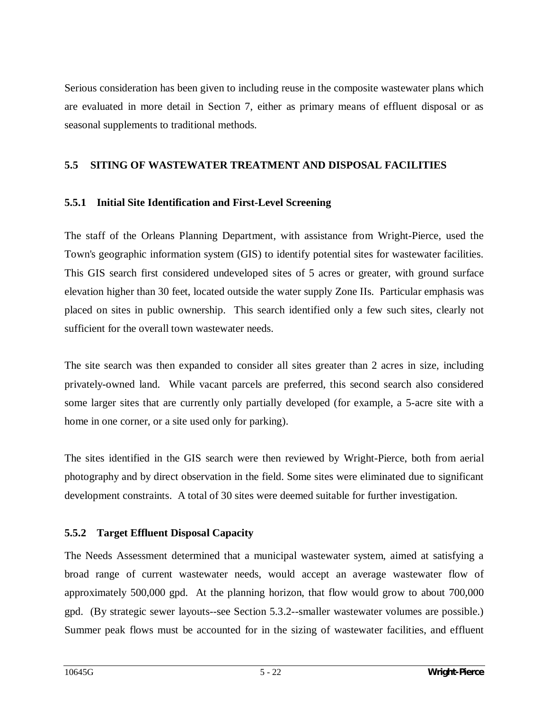Serious consideration has been given to including reuse in the composite wastewater plans which are evaluated in more detail in Section 7, either as primary means of effluent disposal or as seasonal supplements to traditional methods.

## **5.5 SITING OF WASTEWATER TREATMENT AND DISPOSAL FACILITIES**

## **5.5.1 Initial Site Identification and First-Level Screening**

The staff of the Orleans Planning Department, with assistance from Wright-Pierce, used the Town's geographic information system (GIS) to identify potential sites for wastewater facilities. This GIS search first considered undeveloped sites of 5 acres or greater, with ground surface elevation higher than 30 feet, located outside the water supply Zone IIs. Particular emphasis was placed on sites in public ownership. This search identified only a few such sites, clearly not sufficient for the overall town wastewater needs.

The site search was then expanded to consider all sites greater than 2 acres in size, including privately-owned land. While vacant parcels are preferred, this second search also considered some larger sites that are currently only partially developed (for example, a 5-acre site with a home in one corner, or a site used only for parking).

The sites identified in the GIS search were then reviewed by Wright-Pierce, both from aerial photography and by direct observation in the field. Some sites were eliminated due to significant development constraints. A total of 30 sites were deemed suitable for further investigation.

# **5.5.2 Target Effluent Disposal Capacity**

The Needs Assessment determined that a municipal wastewater system, aimed at satisfying a broad range of current wastewater needs, would accept an average wastewater flow of approximately 500,000 gpd. At the planning horizon, that flow would grow to about 700,000 gpd. (By strategic sewer layouts--see Section 5.3.2--smaller wastewater volumes are possible.) Summer peak flows must be accounted for in the sizing of wastewater facilities, and effluent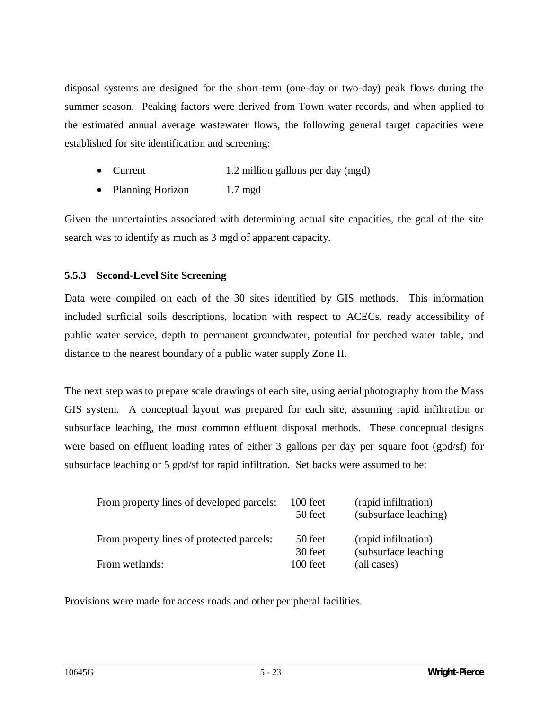disposal systems are designed for the short-term (one-day or two-day) peak flows during the summer season. Peaking factors were derived from Town water records, and when applied to the estimated annual average wastewater flows, the following general target capacities were established for site identification and screening:

- Current 1.2 million gallons per day (mgd)
- Planning Horizon 1.7 mgd

Given the uncertainties associated with determining actual site capacities, the goal of the site search was to identify as much as 3 mgd of apparent capacity.

# **5.5.3 Second-Level Site Screening**

Data were compiled on each of the 30 sites identified by GIS methods. This information included surficial soils descriptions, location with respect to ACECs, ready accessibility of public water service, depth to permanent groundwater, potential for perched water table, and distance to the nearest boundary of a public water supply Zone II.

The next step was to prepare scale drawings of each site, using aerial photography from the Mass GIS system. A conceptual layout was prepared for each site, assuming rapid infiltration or subsurface leaching, the most common effluent disposal methods. These conceptual designs were based on effluent loading rates of either 3 gallons per day per square foot (gpd/sf) for subsurface leaching or 5 gpd/sf for rapid infiltration. Set backs were assumed to be:

| From property lines of developed parcels: | $100$ feet<br>50 feet | (rapid infiltration)<br>(subsurface leaching) |
|-------------------------------------------|-----------------------|-----------------------------------------------|
| From property lines of protected parcels: | 50 feet<br>30 feet    | (rapid infiltration)<br>(subsurface leaching) |
| From wetlands:                            | $100$ feet            | (all cases)                                   |

Provisions were made for access roads and other peripheral facilities.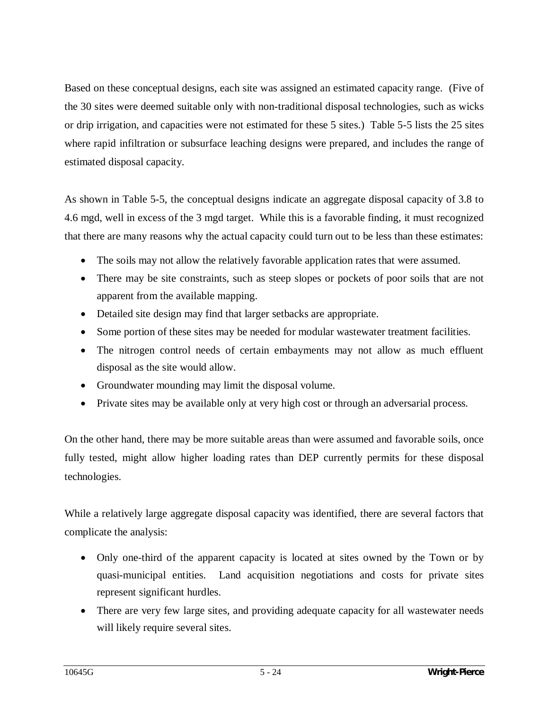Based on these conceptual designs, each site was assigned an estimated capacity range. (Five of the 30 sites were deemed suitable only with non-traditional disposal technologies, such as wicks or drip irrigation, and capacities were not estimated for these 5 sites.) Table 5-5 lists the 25 sites where rapid infiltration or subsurface leaching designs were prepared, and includes the range of estimated disposal capacity.

As shown in Table 5-5, the conceptual designs indicate an aggregate disposal capacity of 3.8 to 4.6 mgd, well in excess of the 3 mgd target. While this is a favorable finding, it must recognized that there are many reasons why the actual capacity could turn out to be less than these estimates:

- The soils may not allow the relatively favorable application rates that were assumed.
- There may be site constraints, such as steep slopes or pockets of poor soils that are not apparent from the available mapping.
- Detailed site design may find that larger setbacks are appropriate.
- Some portion of these sites may be needed for modular wastewater treatment facilities.
- The nitrogen control needs of certain embayments may not allow as much effluent disposal as the site would allow.
- Groundwater mounding may limit the disposal volume.
- Private sites may be available only at very high cost or through an adversarial process.

On the other hand, there may be more suitable areas than were assumed and favorable soils, once fully tested, might allow higher loading rates than DEP currently permits for these disposal technologies.

While a relatively large aggregate disposal capacity was identified, there are several factors that complicate the analysis:

- Only one-third of the apparent capacity is located at sites owned by the Town or by quasi-municipal entities. Land acquisition negotiations and costs for private sites represent significant hurdles.
- There are very few large sites, and providing adequate capacity for all wastewater needs will likely require several sites.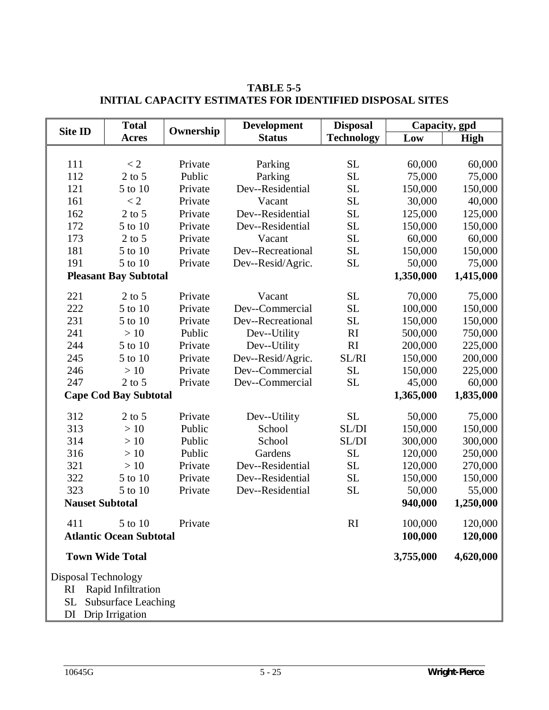| <b>Total</b><br><b>Site ID</b> |                                                  | Ownership | <b>Development</b> | <b>Disposal</b>   | Capacity, gpd |           |  |  |
|--------------------------------|--------------------------------------------------|-----------|--------------------|-------------------|---------------|-----------|--|--|
|                                | <b>Acres</b>                                     |           | <b>Status</b>      | <b>Technology</b> | Low           | High      |  |  |
|                                |                                                  |           |                    |                   |               |           |  |  |
| 111                            | < 2                                              | Private   | Parking            | <b>SL</b>         | 60,000        | 60,000    |  |  |
| 112                            | $2$ to 5                                         | Public    | Parking            | <b>SL</b>         | 75,000        | 75,000    |  |  |
| 121                            | 5 to 10                                          | Private   | Dev--Residential   | <b>SL</b>         | 150,000       | 150,000   |  |  |
| 161                            | $\lt 2$                                          | Private   | Vacant             | <b>SL</b>         | 30,000        | 40,000    |  |  |
| 162                            | $2$ to 5                                         | Private   | Dev--Residential   | <b>SL</b>         | 125,000       | 125,000   |  |  |
| 172                            | 5 to 10                                          | Private   | Dev--Residential   | <b>SL</b>         | 150,000       | 150,000   |  |  |
| 173                            | $2$ to 5                                         | Private   | Vacant             | <b>SL</b>         | 60,000        | 60,000    |  |  |
| 181                            | 5 to 10                                          | Private   | Dev--Recreational  | <b>SL</b>         | 150,000       | 150,000   |  |  |
| 191                            | 5 to 10                                          | Private   | Dev--Resid/Agric.  | <b>SL</b>         | 50,000        | 75,000    |  |  |
|                                | <b>Pleasant Bay Subtotal</b>                     |           |                    |                   | 1,350,000     | 1,415,000 |  |  |
| 221                            | $2$ to 5                                         | Private   | Vacant             | <b>SL</b>         | 70,000        | 75,000    |  |  |
| 222                            | 5 to 10                                          | Private   | Dev--Commercial    | <b>SL</b>         | 100,000       | 150,000   |  |  |
| 231                            | 5 to 10                                          | Private   | Dev--Recreational  | <b>SL</b>         | 150,000       | 150,000   |  |  |
| 241                            | >10                                              | Public    | Dev--Utility       | RI                | 500,000       | 750,000   |  |  |
| 244                            | 5 to 10                                          | Private   | Dev--Utility       | RI                | 200,000       | 225,000   |  |  |
| 245                            | 5 to 10                                          | Private   | Dev--Resid/Agric.  | SL/RI             | 150,000       | 200,000   |  |  |
| 246                            | >10                                              | Private   | Dev--Commercial    | <b>SL</b>         | 150,000       | 225,000   |  |  |
| 247                            | $2$ to 5                                         | Private   | Dev--Commercial    | <b>SL</b>         | 45,000        | 60,000    |  |  |
| <b>Cape Cod Bay Subtotal</b>   |                                                  |           |                    |                   | 1,365,000     | 1,835,000 |  |  |
| 312                            | $2$ to 5                                         | Private   | Dev--Utility       | <b>SL</b>         | 50,000        | 75,000    |  |  |
| 313                            | >10                                              | Public    | School             | SL/DI             | 150,000       | 150,000   |  |  |
| 314                            | >10                                              | Public    | School             | SL/DI             | 300,000       | 300,000   |  |  |
| 316                            | >10                                              | Public    | Gardens            | <b>SL</b>         | 120,000       | 250,000   |  |  |
| 321                            | >10                                              | Private   | Dev--Residential   | <b>SL</b>         | 120,000       | 270,000   |  |  |
| 322                            | 5 to 10                                          | Private   | Dev--Residential   | <b>SL</b>         | 150,000       | 150,000   |  |  |
| 323                            | 5 to 10                                          | Private   | Dev--Residential   | <b>SL</b>         | 50,000        | 55,000    |  |  |
| <b>Nauset Subtotal</b>         |                                                  |           |                    |                   | 940,000       | 1,250,000 |  |  |
| 411                            | 5 to 10                                          | Private   |                    | RI                | 100,000       | 120,000   |  |  |
|                                | <b>Atlantic Ocean Subtotal</b>                   |           |                    |                   | 100,000       | 120,000   |  |  |
| <b>Town Wide Total</b>         |                                                  |           |                    | 3,755,000         | 4,620,000     |           |  |  |
|                                |                                                  |           |                    |                   |               |           |  |  |
| Disposal Technology            |                                                  |           |                    |                   |               |           |  |  |
| RI                             | Rapid Infiltration<br><b>Subsurface Leaching</b> |           |                    |                   |               |           |  |  |
| <b>SL</b>                      |                                                  |           |                    |                   |               |           |  |  |
| DI                             | Drip Irrigation                                  |           |                    |                   |               |           |  |  |

**TABLE 5-5 INITIAL CAPACITY ESTIMATES FOR IDENTIFIED DISPOSAL SITES**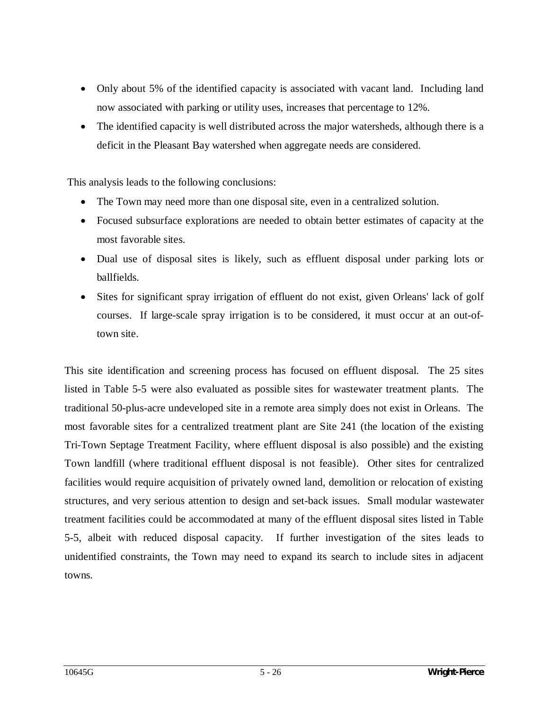- Only about 5% of the identified capacity is associated with vacant land. Including land now associated with parking or utility uses, increases that percentage to 12%.
- The identified capacity is well distributed across the major watersheds, although there is a deficit in the Pleasant Bay watershed when aggregate needs are considered.

This analysis leads to the following conclusions:

- The Town may need more than one disposal site, even in a centralized solution.
- Focused subsurface explorations are needed to obtain better estimates of capacity at the most favorable sites.
- Dual use of disposal sites is likely, such as effluent disposal under parking lots or ballfields.
- Sites for significant spray irrigation of effluent do not exist, given Orleans' lack of golf courses. If large-scale spray irrigation is to be considered, it must occur at an out-oftown site.

This site identification and screening process has focused on effluent disposal. The 25 sites listed in Table 5-5 were also evaluated as possible sites for wastewater treatment plants. The traditional 50-plus-acre undeveloped site in a remote area simply does not exist in Orleans. The most favorable sites for a centralized treatment plant are Site 241 (the location of the existing Tri-Town Septage Treatment Facility, where effluent disposal is also possible) and the existing Town landfill (where traditional effluent disposal is not feasible). Other sites for centralized facilities would require acquisition of privately owned land, demolition or relocation of existing structures, and very serious attention to design and set-back issues. Small modular wastewater treatment facilities could be accommodated at many of the effluent disposal sites listed in Table 5-5, albeit with reduced disposal capacity. If further investigation of the sites leads to unidentified constraints, the Town may need to expand its search to include sites in adjacent towns.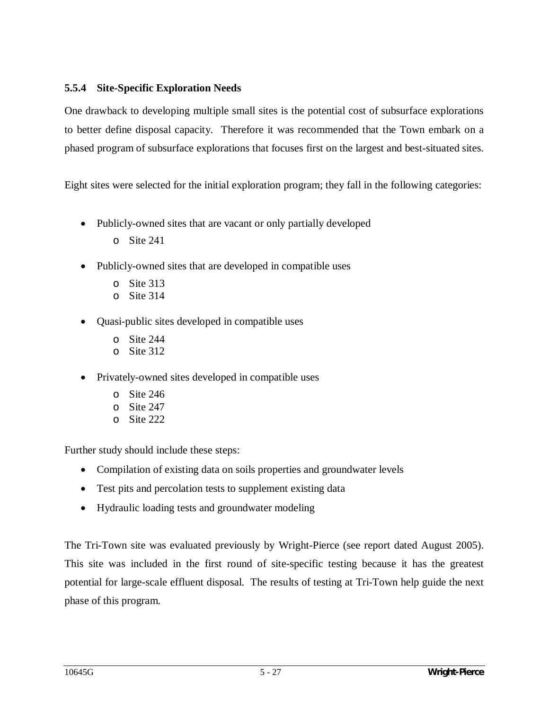## **5.5.4 Site-Specific Exploration Needs**

One drawback to developing multiple small sites is the potential cost of subsurface explorations to better define disposal capacity. Therefore it was recommended that the Town embark on a phased program of subsurface explorations that focuses first on the largest and best-situated sites.

Eight sites were selected for the initial exploration program; they fall in the following categories:

- Publicly-owned sites that are vacant or only partially developed
	- o Site 241
- Publicly-owned sites that are developed in compatible uses
	- o Site 313
	- o Site 314
- Quasi-public sites developed in compatible uses
	- o Site 244
	- o Site 312
- Privately-owned sites developed in compatible uses
	- o Site 246
	- o Site 247
	- o Site 222

Further study should include these steps:

- Compilation of existing data on soils properties and groundwater levels
- Test pits and percolation tests to supplement existing data
- Hydraulic loading tests and groundwater modeling

The Tri-Town site was evaluated previously by Wright-Pierce (see report dated August 2005). This site was included in the first round of site-specific testing because it has the greatest potential for large-scale effluent disposal. The results of testing at Tri-Town help guide the next phase of this program.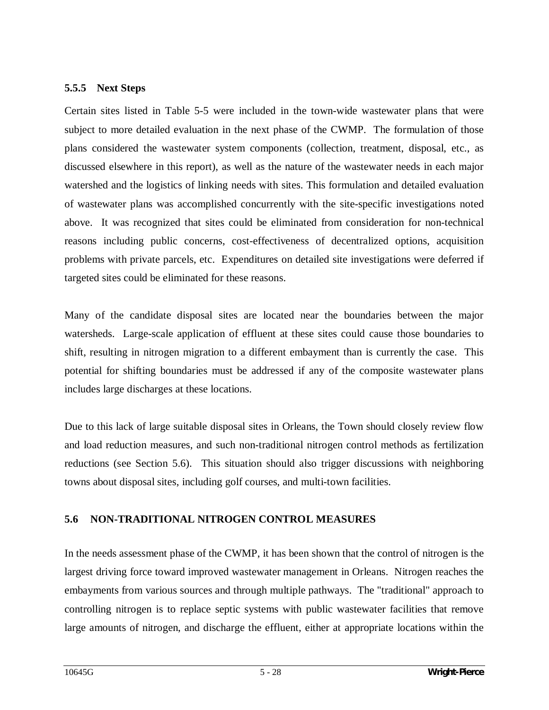#### **5.5.5 Next Steps**

Certain sites listed in Table 5-5 were included in the town-wide wastewater plans that were subject to more detailed evaluation in the next phase of the CWMP. The formulation of those plans considered the wastewater system components (collection, treatment, disposal, etc., as discussed elsewhere in this report), as well as the nature of the wastewater needs in each major watershed and the logistics of linking needs with sites. This formulation and detailed evaluation of wastewater plans was accomplished concurrently with the site-specific investigations noted above. It was recognized that sites could be eliminated from consideration for non-technical reasons including public concerns, cost-effectiveness of decentralized options, acquisition problems with private parcels, etc. Expenditures on detailed site investigations were deferred if targeted sites could be eliminated for these reasons.

Many of the candidate disposal sites are located near the boundaries between the major watersheds. Large-scale application of effluent at these sites could cause those boundaries to shift, resulting in nitrogen migration to a different embayment than is currently the case. This potential for shifting boundaries must be addressed if any of the composite wastewater plans includes large discharges at these locations.

Due to this lack of large suitable disposal sites in Orleans, the Town should closely review flow and load reduction measures, and such non-traditional nitrogen control methods as fertilization reductions (see Section 5.6). This situation should also trigger discussions with neighboring towns about disposal sites, including golf courses, and multi-town facilities.

## **5.6 NON-TRADITIONAL NITROGEN CONTROL MEASURES**

In the needs assessment phase of the CWMP, it has been shown that the control of nitrogen is the largest driving force toward improved wastewater management in Orleans. Nitrogen reaches the embayments from various sources and through multiple pathways. The "traditional" approach to controlling nitrogen is to replace septic systems with public wastewater facilities that remove large amounts of nitrogen, and discharge the effluent, either at appropriate locations within the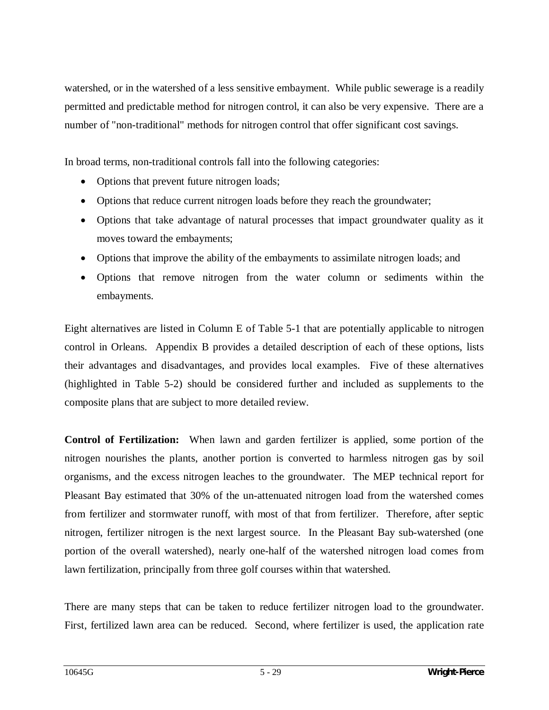watershed, or in the watershed of a less sensitive embayment. While public sewerage is a readily permitted and predictable method for nitrogen control, it can also be very expensive. There are a number of "non-traditional" methods for nitrogen control that offer significant cost savings.

In broad terms, non-traditional controls fall into the following categories:

- Options that prevent future nitrogen loads;
- Options that reduce current nitrogen loads before they reach the groundwater;
- Options that take advantage of natural processes that impact groundwater quality as it moves toward the embayments;
- Options that improve the ability of the embayments to assimilate nitrogen loads; and
- Options that remove nitrogen from the water column or sediments within the embayments.

Eight alternatives are listed in Column E of Table 5-1 that are potentially applicable to nitrogen control in Orleans. Appendix B provides a detailed description of each of these options, lists their advantages and disadvantages, and provides local examples. Five of these alternatives (highlighted in Table 5-2) should be considered further and included as supplements to the composite plans that are subject to more detailed review.

**Control of Fertilization:** When lawn and garden fertilizer is applied, some portion of the nitrogen nourishes the plants, another portion is converted to harmless nitrogen gas by soil organisms, and the excess nitrogen leaches to the groundwater. The MEP technical report for Pleasant Bay estimated that 30% of the un-attenuated nitrogen load from the watershed comes from fertilizer and stormwater runoff, with most of that from fertilizer. Therefore, after septic nitrogen, fertilizer nitrogen is the next largest source. In the Pleasant Bay sub-watershed (one portion of the overall watershed), nearly one-half of the watershed nitrogen load comes from lawn fertilization, principally from three golf courses within that watershed.

There are many steps that can be taken to reduce fertilizer nitrogen load to the groundwater. First, fertilized lawn area can be reduced. Second, where fertilizer is used, the application rate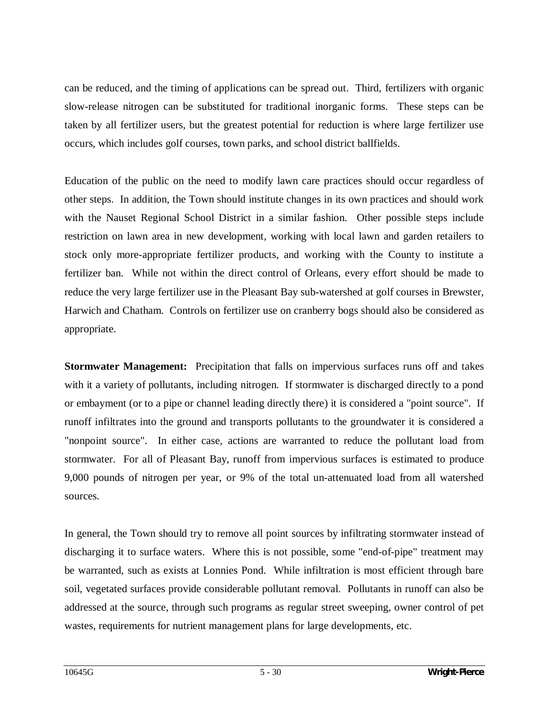can be reduced, and the timing of applications can be spread out. Third, fertilizers with organic slow-release nitrogen can be substituted for traditional inorganic forms. These steps can be taken by all fertilizer users, but the greatest potential for reduction is where large fertilizer use occurs, which includes golf courses, town parks, and school district ballfields.

Education of the public on the need to modify lawn care practices should occur regardless of other steps. In addition, the Town should institute changes in its own practices and should work with the Nauset Regional School District in a similar fashion. Other possible steps include restriction on lawn area in new development, working with local lawn and garden retailers to stock only more-appropriate fertilizer products, and working with the County to institute a fertilizer ban. While not within the direct control of Orleans, every effort should be made to reduce the very large fertilizer use in the Pleasant Bay sub-watershed at golf courses in Brewster, Harwich and Chatham. Controls on fertilizer use on cranberry bogs should also be considered as appropriate.

**Stormwater Management:** Precipitation that falls on impervious surfaces runs off and takes with it a variety of pollutants, including nitrogen. If stormwater is discharged directly to a pond or embayment (or to a pipe or channel leading directly there) it is considered a "point source". If runoff infiltrates into the ground and transports pollutants to the groundwater it is considered a "nonpoint source". In either case, actions are warranted to reduce the pollutant load from stormwater. For all of Pleasant Bay, runoff from impervious surfaces is estimated to produce 9,000 pounds of nitrogen per year, or 9% of the total un-attenuated load from all watershed sources.

In general, the Town should try to remove all point sources by infiltrating stormwater instead of discharging it to surface waters. Where this is not possible, some "end-of-pipe" treatment may be warranted, such as exists at Lonnies Pond. While infiltration is most efficient through bare soil, vegetated surfaces provide considerable pollutant removal. Pollutants in runoff can also be addressed at the source, through such programs as regular street sweeping, owner control of pet wastes, requirements for nutrient management plans for large developments, etc.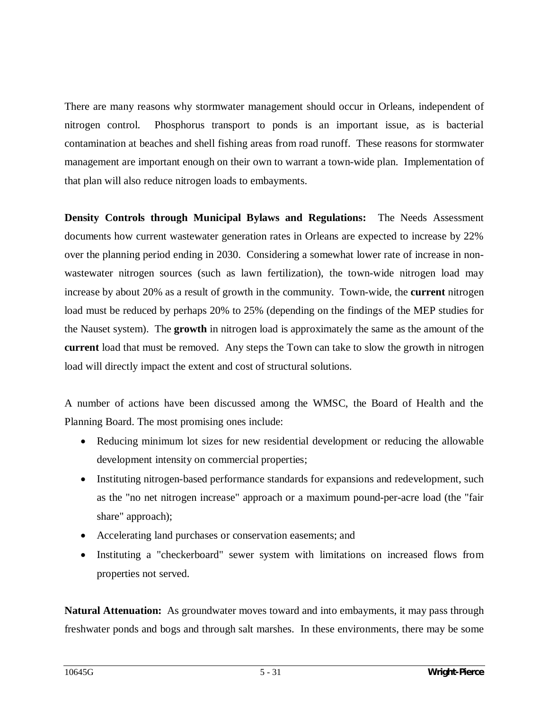There are many reasons why stormwater management should occur in Orleans, independent of nitrogen control. Phosphorus transport to ponds is an important issue, as is bacterial contamination at beaches and shell fishing areas from road runoff. These reasons for stormwater management are important enough on their own to warrant a town-wide plan. Implementation of that plan will also reduce nitrogen loads to embayments.

**Density Controls through Municipal Bylaws and Regulations:** The Needs Assessment documents how current wastewater generation rates in Orleans are expected to increase by 22% over the planning period ending in 2030. Considering a somewhat lower rate of increase in nonwastewater nitrogen sources (such as lawn fertilization), the town-wide nitrogen load may increase by about 20% as a result of growth in the community. Town-wide, the **current** nitrogen load must be reduced by perhaps 20% to 25% (depending on the findings of the MEP studies for the Nauset system). The **growth** in nitrogen load is approximately the same as the amount of the **current** load that must be removed. Any steps the Town can take to slow the growth in nitrogen load will directly impact the extent and cost of structural solutions.

A number of actions have been discussed among the WMSC, the Board of Health and the Planning Board. The most promising ones include:

- Reducing minimum lot sizes for new residential development or reducing the allowable development intensity on commercial properties;
- Instituting nitrogen-based performance standards for expansions and redevelopment, such as the "no net nitrogen increase" approach or a maximum pound-per-acre load (the "fair share" approach);
- Accelerating land purchases or conservation easements; and
- Instituting a "checkerboard" sewer system with limitations on increased flows from properties not served.

**Natural Attenuation:** As groundwater moves toward and into embayments, it may pass through freshwater ponds and bogs and through salt marshes. In these environments, there may be some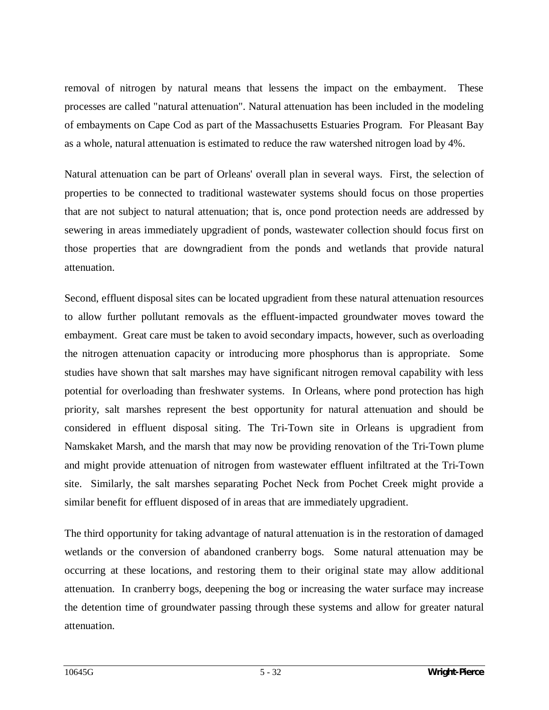removal of nitrogen by natural means that lessens the impact on the embayment. These processes are called "natural attenuation". Natural attenuation has been included in the modeling of embayments on Cape Cod as part of the Massachusetts Estuaries Program. For Pleasant Bay as a whole, natural attenuation is estimated to reduce the raw watershed nitrogen load by 4%.

Natural attenuation can be part of Orleans' overall plan in several ways. First, the selection of properties to be connected to traditional wastewater systems should focus on those properties that are not subject to natural attenuation; that is, once pond protection needs are addressed by sewering in areas immediately upgradient of ponds, wastewater collection should focus first on those properties that are downgradient from the ponds and wetlands that provide natural attenuation.

Second, effluent disposal sites can be located upgradient from these natural attenuation resources to allow further pollutant removals as the effluent-impacted groundwater moves toward the embayment. Great care must be taken to avoid secondary impacts, however, such as overloading the nitrogen attenuation capacity or introducing more phosphorus than is appropriate. Some studies have shown that salt marshes may have significant nitrogen removal capability with less potential for overloading than freshwater systems. In Orleans, where pond protection has high priority, salt marshes represent the best opportunity for natural attenuation and should be considered in effluent disposal siting. The Tri-Town site in Orleans is upgradient from Namskaket Marsh, and the marsh that may now be providing renovation of the Tri-Town plume and might provide attenuation of nitrogen from wastewater effluent infiltrated at the Tri-Town site. Similarly, the salt marshes separating Pochet Neck from Pochet Creek might provide a similar benefit for effluent disposed of in areas that are immediately upgradient.

The third opportunity for taking advantage of natural attenuation is in the restoration of damaged wetlands or the conversion of abandoned cranberry bogs. Some natural attenuation may be occurring at these locations, and restoring them to their original state may allow additional attenuation. In cranberry bogs, deepening the bog or increasing the water surface may increase the detention time of groundwater passing through these systems and allow for greater natural attenuation.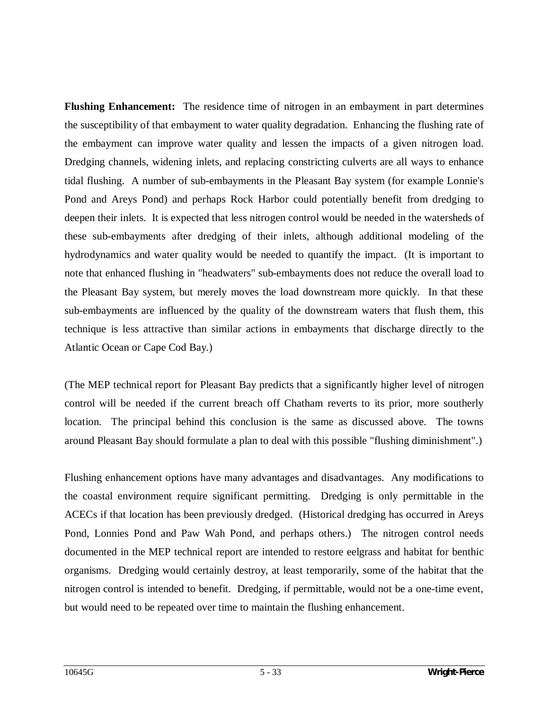**Flushing Enhancement:** The residence time of nitrogen in an embayment in part determines the susceptibility of that embayment to water quality degradation. Enhancing the flushing rate of the embayment can improve water quality and lessen the impacts of a given nitrogen load. Dredging channels, widening inlets, and replacing constricting culverts are all ways to enhance tidal flushing. A number of sub-embayments in the Pleasant Bay system (for example Lonnie's Pond and Areys Pond) and perhaps Rock Harbor could potentially benefit from dredging to deepen their inlets. It is expected that less nitrogen control would be needed in the watersheds of these sub-embayments after dredging of their inlets, although additional modeling of the hydrodynamics and water quality would be needed to quantify the impact. (It is important to note that enhanced flushing in "headwaters" sub-embayments does not reduce the overall load to the Pleasant Bay system, but merely moves the load downstream more quickly. In that these sub-embayments are influenced by the quality of the downstream waters that flush them, this technique is less attractive than similar actions in embayments that discharge directly to the Atlantic Ocean or Cape Cod Bay.)

(The MEP technical report for Pleasant Bay predicts that a significantly higher level of nitrogen control will be needed if the current breach off Chatham reverts to its prior, more southerly location. The principal behind this conclusion is the same as discussed above. The towns around Pleasant Bay should formulate a plan to deal with this possible "flushing diminishment".)

Flushing enhancement options have many advantages and disadvantages. Any modifications to the coastal environment require significant permitting. Dredging is only permittable in the ACECs if that location has been previously dredged. (Historical dredging has occurred in Areys Pond, Lonnies Pond and Paw Wah Pond, and perhaps others.) The nitrogen control needs documented in the MEP technical report are intended to restore eelgrass and habitat for benthic organisms. Dredging would certainly destroy, at least temporarily, some of the habitat that the nitrogen control is intended to benefit. Dredging, if permittable, would not be a one-time event, but would need to be repeated over time to maintain the flushing enhancement.